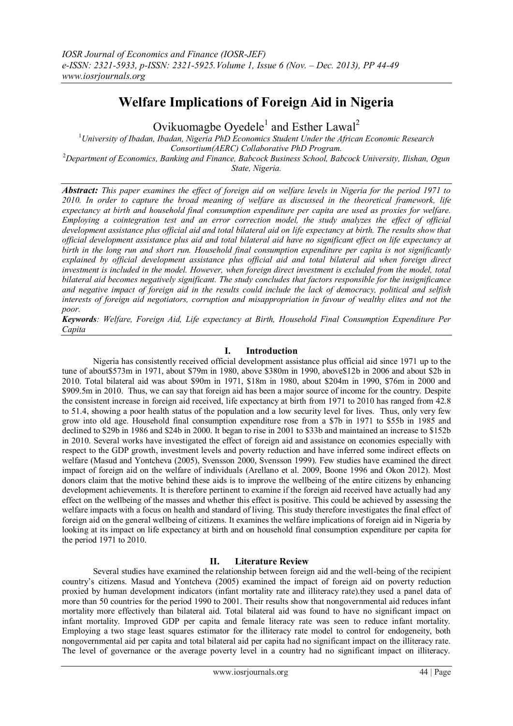# **Welfare Implications of Foreign Aid in Nigeria**

Ovikuomagbe Oyedele<sup>1</sup> and Esther Lawal<sup>2</sup>

<sup>1</sup>*University of Ibadan, Ibadan, Nigeria PhD Economics Student Under the African Economic Research Consortium(AERC) Collaborative PhD Program.*  <sup>2</sup>*Department of Economics, Banking and Finance, Babcock Business School, Babcock University, Ilishan, Ogun State, Nigeria.*

*Abstract: This paper examines the effect of foreign aid on welfare levels in Nigeria for the period 1971 to 2010. In order to capture the broad meaning of welfare as discussed in the theoretical framework, life expectancy at birth and household final consumption expenditure per capita are used as proxies for welfare. Employing a cointegration test and an error correction model, the study analyzes the effect of official development assistance plus official aid and total bilateral aid on life expectancy at birth. The results show that official development assistance plus aid and total bilateral aid have no significant effect on life expectancy at birth in the long run and short run. Household final consumption expenditure per capita is not significantly explained by official development assistance plus official aid and total bilateral aid when foreign direct investment is included in the model. However, when foreign direct investment is excluded from the model, total bilateral aid becomes negatively significant. The study concludes that factors responsible for the insignificance and negative impact of foreign aid in the results could include the lack of democracy, political and selfish interests of foreign aid negotiators, corruption and misappropriation in favour of wealthy elites and not the poor.*

*Keywords: Welfare, Foreign Aid, Life expectancy at Birth, Household Final Consumption Expenditure Per Capita*

### **I. Introduction**

Nigeria has consistently received official development assistance plus official aid since 1971 up to the tune of about\$573m in 1971, about \$79m in 1980, above \$380m in 1990, above\$12b in 2006 and about \$2b in 2010. Total bilateral aid was about \$90m in 1971, \$18m in 1980, about \$204m in 1990, \$76m in 2000 and \$909.5m in 2010. Thus, we can say that foreign aid has been a major source of income for the country. Despite the consistent increase in foreign aid received, life expectancy at birth from 1971 to 2010 has ranged from 42.8 to 51.4, showing a poor health status of the population and a low security level for lives. Thus, only very few grow into old age. Household final consumption expenditure rose from a \$7b in 1971 to \$55b in 1985 and declined to \$29b in 1986 and \$24b in 2000. It began to rise in 2001 to \$33b and maintained an increase to \$152b in 2010. Several works have investigated the effect of foreign aid and assistance on economies especially with respect to the GDP growth, investment levels and poverty reduction and have inferred some indirect effects on welfare (Masud and Yontcheva (2005), Svensson 2000, Svensson 1999). Few studies have examined the direct impact of foreign aid on the welfare of individuals (Arellano et al. 2009, Boone 1996 and Okon 2012). Most donors claim that the motive behind these aids is to improve the wellbeing of the entire citizens by enhancing development achievements. It is therefore pertinent to examine if the foreign aid received have actually had any effect on the wellbeing of the masses and whether this effect is positive. This could be achieved by assessing the welfare impacts with a focus on health and standard of living. This study therefore investigates the final effect of foreign aid on the general wellbeing of citizens. It examines the welfare implications of foreign aid in Nigeria by looking at its impact on life expectancy at birth and on household final consumption expenditure per capita for the period 1971 to 2010.

### **II. Literature Review**

Several studies have examined the relationship between foreign aid and the well-being of the recipient country"s citizens. Masud and Yontcheva (2005) examined the impact of foreign aid on poverty reduction proxied by human development indicators (infant mortality rate and illiteracy rate).they used a panel data of more than 50 countries for the period 1990 to 2001. Their results show that nongovernmental aid reduces infant mortality more effectively than bilateral aid. Total bilateral aid was found to have no significant impact on infant mortality. Improved GDP per capita and female literacy rate was seen to reduce infant mortality. Employing a two stage least squares estimator for the illiteracy rate model to control for endogeneity, both nongovernmental aid per capita and total bilateral aid per capita had no significant impact on the illiteracy rate. The level of governance or the average poverty level in a country had no significant impact on illiteracy.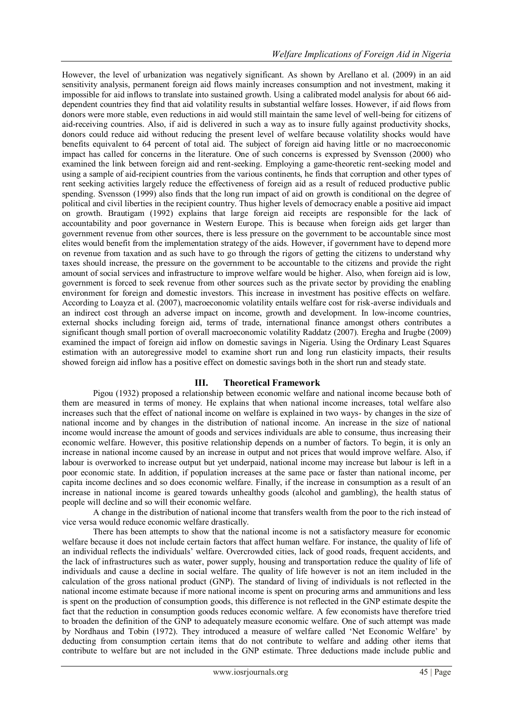However, the level of urbanization was negatively significant. As shown by Arellano et al. (2009) in an aid sensitivity analysis, permanent foreign aid flows mainly increases consumption and not investment, making it impossible for aid inflows to translate into sustained growth. Using a calibrated model analysis for about 66 aiddependent countries they find that aid volatility results in substantial welfare losses. However, if aid flows from donors were more stable, even reductions in aid would still maintain the same level of well-being for citizens of aid-receiving countries. Also, if aid is delivered in such a way as to insure fully against productivity shocks, donors could reduce aid without reducing the present level of welfare because volatility shocks would have benefits equivalent to 64 percent of total aid. The subject of foreign aid having little or no macroeconomic impact has called for concerns in the literature. One of such concerns is expressed by Svensson (2000) who examined the link between foreign aid and rent-seeking. Employing a game-theoretic rent-seeking model and using a sample of aid-recipient countries from the various continents, he finds that corruption and other types of rent seeking activities largely reduce the effectiveness of foreign aid as a result of reduced productive public spending. Svensson (1999) also finds that the long run impact of aid on growth is conditional on the degree of political and civil liberties in the recipient country. Thus higher levels of democracy enable a positive aid impact on growth. Brautigam (1992) explains that large foreign aid receipts are responsible for the lack of accountability and poor governance in Western Europe. This is because when foreign aids get larger than government revenue from other sources, there is less pressure on the government to be accountable since most elites would benefit from the implementation strategy of the aids. However, if government have to depend more on revenue from taxation and as such have to go through the rigors of getting the citizens to understand why taxes should increase, the pressure on the government to be accountable to the citizens and provide the right amount of social services and infrastructure to improve welfare would be higher. Also, when foreign aid is low, government is forced to seek revenue from other sources such as the private sector by providing the enabling environment for foreign and domestic investors. This increase in investment has positive effects on welfare. According to Loayza et al. (2007), macroeconomic volatility entails welfare cost for risk-averse individuals and an indirect cost through an adverse impact on income, growth and development. In low-income countries, external shocks including foreign aid, terms of trade, international finance amongst others contributes a significant though small portion of overall macroeconomic volatility Raddatz (2007). Eregha and Irugbe (2009) examined the impact of foreign aid inflow on domestic savings in Nigeria. Using the Ordinary Least Squares estimation with an autoregressive model to examine short run and long run elasticity impacts, their results showed foreign aid inflow has a positive effect on domestic savings both in the short run and steady state.

### **III. Theoretical Framework**

Pigou (1932) proposed a relationship between economic welfare and national income because both of them are measured in terms of money. He explains that when national income increases, total welfare also increases such that the effect of national income on welfare is explained in two ways- by changes in the size of national income and by changes in the distribution of national income. An increase in the size of national income would increase the amount of goods and services individuals are able to consume, thus increasing their economic welfare. However, this positive relationship depends on a number of factors. To begin, it is only an increase in national income caused by an increase in output and not prices that would improve welfare. Also, if labour is overworked to increase output but yet underpaid, national income may increase but labour is left in a poor economic state. In addition, if population increases at the same pace or faster than national income, per capita income declines and so does economic welfare. Finally, if the increase in consumption as a result of an increase in national income is geared towards unhealthy goods (alcohol and gambling), the health status of people will decline and so will their economic welfare.

A change in the distribution of national income that transfers wealth from the poor to the rich instead of vice versa would reduce economic welfare drastically.

There has been attempts to show that the national income is not a satisfactory measure for economic welfare because it does not include certain factors that affect human welfare. For instance, the quality of life of an individual reflects the individuals" welfare. Overcrowded cities, lack of good roads, frequent accidents, and the lack of infrastructures such as water, power supply, housing and transportation reduce the quality of life of individuals and cause a decline in social welfare. The quality of life however is not an item included in the calculation of the gross national product (GNP). The standard of living of individuals is not reflected in the national income estimate because if more national income is spent on procuring arms and ammunitions and less is spent on the production of consumption goods, this difference is not reflected in the GNP estimate despite the fact that the reduction in consumption goods reduces economic welfare. A few economists have therefore tried to broaden the definition of the GNP to adequately measure economic welfare. One of such attempt was made by Nordhaus and Tobin (1972). They introduced a measure of welfare called "Net Economic Welfare" by deducting from consumption certain items that do not contribute to welfare and adding other items that contribute to welfare but are not included in the GNP estimate. Three deductions made include public and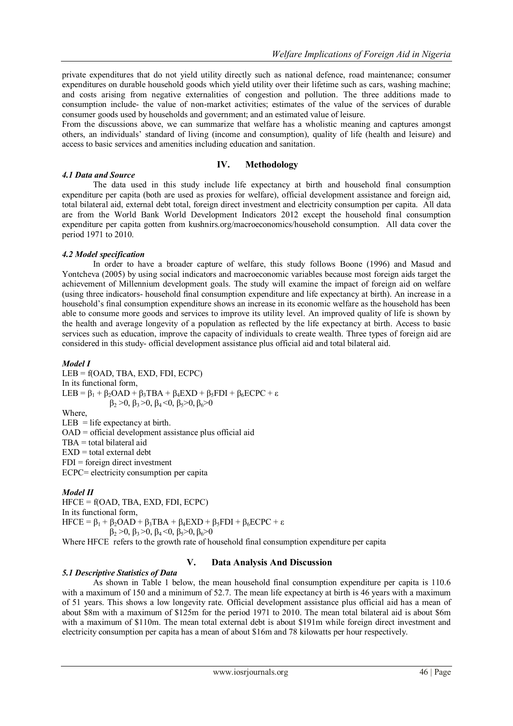private expenditures that do not yield utility directly such as national defence, road maintenance; consumer expenditures on durable household goods which yield utility over their lifetime such as cars, washing machine; and costs arising from negative externalities of congestion and pollution. The three additions made to consumption include- the value of non-market activities; estimates of the value of the services of durable consumer goods used by households and government; and an estimated value of leisure.

From the discussions above, we can summarize that welfare has a wholistic meaning and captures amongst others, an individuals" standard of living (income and consumption), quality of life (health and leisure) and access to basic services and amenities including education and sanitation.

## **IV. Methodology**

### *4.1 Data and Source*

The data used in this study include life expectancy at birth and household final consumption expenditure per capita (both are used as proxies for welfare), official development assistance and foreign aid, total bilateral aid, external debt total, foreign direct investment and electricity consumption per capita. All data are from the World Bank World Development Indicators 2012 except the household final consumption expenditure per capita gotten from kushnirs.org/macroeconomics/household consumption. All data cover the period 1971 to 2010.

### *4.2 Model specification*

In order to have a broader capture of welfare, this study follows Boone (1996) and Masud and Yontcheva (2005) by using social indicators and macroeconomic variables because most foreign aids target the achievement of Millennium development goals. The study will examine the impact of foreign aid on welfare (using three indicators- household final consumption expenditure and life expectancy at birth). An increase in a household"s final consumption expenditure shows an increase in its economic welfare as the household has been able to consume more goods and services to improve its utility level. An improved quality of life is shown by the health and average longevity of a population as reflected by the life expectancy at birth. Access to basic services such as education, improve the capacity of individuals to create wealth. Three types of foreign aid are considered in this study- official development assistance plus official aid and total bilateral aid.

#### *Model I*

LEB = f(OAD, TBA, EXD, FDI, ECPC) In its functional form, LEB =  $\beta_1 + \beta_2$ OAD +  $\beta_3$ TBA +  $\beta_4$ EXD +  $\beta_5$ FDI +  $\beta_6$ ECPC + ε  $β<sub>2</sub> > 0$ ,  $β<sub>3</sub> > 0$ ,  $β<sub>4</sub> < 0$ ,  $β<sub>5</sub> > 0$ ,  $β<sub>6</sub> > 0$ Where,  $LEB = life$  expectancy at birth.  $OAD =$  official development assistance plus official aid TBA = total bilateral aid  $EXD = total external debt$  $FDI = foreign direct investment$ ECPC= electricity consumption per capita

### *Model II*

 $HFCE = f(OAD, TBA, EXP, FDI, ECPC)$ In its functional form, HFCE =  $\beta_1 + \beta_2$ OAD +  $\beta_3$ TBA +  $\beta_4$ EXD +  $\beta_5$ FDI +  $\beta_6$ ECPC + ε  $β_2 > 0$ ,  $β_3 > 0$ ,  $β_4 < 0$ ,  $β_5 > 0$ ,  $β_6 > 0$ 

Where HFCE refers to the growth rate of household final consumption expenditure per capita

## **V. Data Analysis And Discussion**

### *5.1 Descriptive Statistics of Data*

As shown in Table 1 below, the mean household final consumption expenditure per capita is 110.6 with a maximum of 150 and a minimum of 52.7. The mean life expectancy at birth is 46 years with a maximum of 51 years. This shows a low longevity rate. Official development assistance plus official aid has a mean of about \$8m with a maximum of \$125m for the period 1971 to 2010. The mean total bilateral aid is about \$6m with a maximum of \$110m. The mean total external debt is about \$191m while foreign direct investment and electricity consumption per capita has a mean of about \$16m and 78 kilowatts per hour respectively.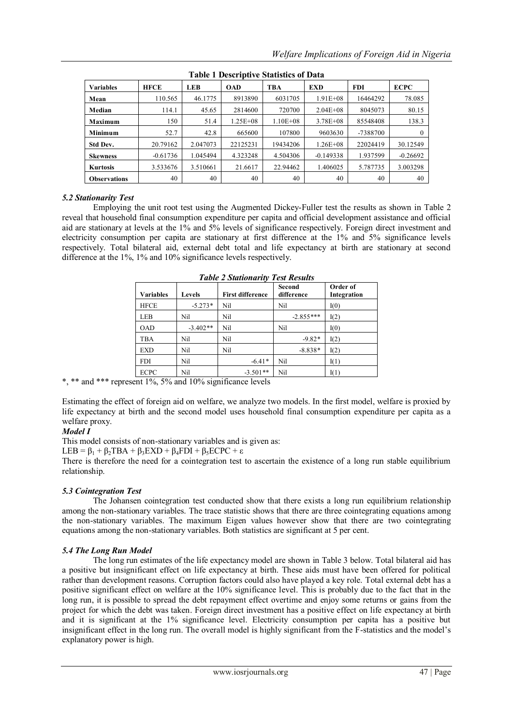| Table I Descriptive Statistics of Data |             |          |              |              |              |            |             |
|----------------------------------------|-------------|----------|--------------|--------------|--------------|------------|-------------|
| <b>Variables</b>                       | <b>HFCE</b> | LEB      | <b>OAD</b>   | TBA          | <b>EXD</b>   | <b>FDI</b> | <b>ECPC</b> |
| Mean                                   | 110.565     | 46.1775  | 8913890      | 6031705      | $1.91E + 08$ | 16464292   | 78.085      |
| Median                                 | 114.1       | 45.65    | 2814600      | 720700       | $2.04E + 08$ | 8045073    | 80.15       |
| Maximum                                | 150         | 51.4     | $1.25E + 08$ | $1.10E + 08$ | $3.78E + 08$ | 85548408   | 138.3       |
| Minimum                                | 52.7        | 42.8     | 665600       | 107800       | 9603630      | -7388700   | $\left($    |
| Std Dev.                               | 20.79162    | 2.047073 | 22125231     | 19434206     | $1.26E + 08$ | 22024419   | 30.12549    |
| <b>Skewness</b>                        | $-0.61736$  | 1.045494 | 4.323248     | 4.504306     | $-0.149338$  | 1.937599   | $-0.26692$  |
| <b>Kurtosis</b>                        | 3.533676    | 3.510661 | 21.6617      | 22.94462     | 1.406025     | 5.787735   | 3.003298    |
| <b>Observations</b>                    | 40          | 40       | 40           | 40           | 40           | 40         | 40          |

|  |  | <b>Table 1 Descriptive Statistics of Data</b> |  |  |
|--|--|-----------------------------------------------|--|--|
|--|--|-----------------------------------------------|--|--|

## *5.2 Stationarity Test*

Employing the unit root test using the Augmented Dickey-Fuller test the results as shown in Table 2 reveal that household final consumption expenditure per capita and official development assistance and official aid are stationary at levels at the 1% and 5% levels of significance respectively. Foreign direct investment and electricity consumption per capita are stationary at first difference at the 1% and 5% significance levels respectively. Total bilateral aid, external debt total and life expectancy at birth are stationary at second difference at the 1%, 1% and 10% significance levels respectively.

| Variables   | Levels     | <b>First difference</b> | Second<br>difference | Order of<br>Integration |
|-------------|------------|-------------------------|----------------------|-------------------------|
| <b>HFCE</b> | $-5.273*$  | Nil                     | Nil                  | I(0)                    |
| <b>LEB</b>  | Nil        | Nil                     | $-2.855***$          | I(2)                    |
| <b>OAD</b>  | $-3.402**$ | Nil                     | Nil                  | I(0)                    |
| <b>TBA</b>  | Nil        | Nil                     | $-9.82*$             | I(2)                    |
| <b>EXD</b>  | Nil        | Nil                     | $-8.838*$            | I(2)                    |
| <b>FDI</b>  | Nil        | $-6.41*$                | Nil                  | I(1)                    |
| <b>ECPC</b> | Nil        | $-3.501**$              | Nil                  | I(1)                    |

*Table 2 Stationarity Test Results*

\*, \*\* and \*\*\* represent 1%, 5% and 10% significance levels

Estimating the effect of foreign aid on welfare, we analyze two models. In the first model, welfare is proxied by life expectancy at birth and the second model uses household final consumption expenditure per capita as a welfare proxy.

## *Model I*

This model consists of non-stationary variables and is given as:

LEB =  $\beta_1 + \beta_2$ TBA +  $\beta_3$ EXD +  $\beta_4$ FDI +  $\beta_5$ ECPC + ε

There is therefore the need for a cointegration test to ascertain the existence of a long run stable equilibrium relationship.

## *5.3 Cointegration Test*

The Johansen cointegration test conducted show that there exists a long run equilibrium relationship among the non-stationary variables. The trace statistic shows that there are three cointegrating equations among the non-stationary variables. The maximum Eigen values however show that there are two cointegrating equations among the non-stationary variables. Both statistics are significant at 5 per cent.

### *5.4 The Long Run Model*

The long run estimates of the life expectancy model are shown in Table 3 below. Total bilateral aid has a positive but insignificant effect on life expectancy at birth. These aids must have been offered for political rather than development reasons. Corruption factors could also have played a key role. Total external debt has a positive significant effect on welfare at the 10% significance level. This is probably due to the fact that in the long run, it is possible to spread the debt repayment effect overtime and enjoy some returns or gains from the project for which the debt was taken. Foreign direct investment has a positive effect on life expectancy at birth and it is significant at the 1% significance level. Electricity consumption per capita has a positive but insignificant effect in the long run. The overall model is highly significant from the F-statistics and the model"s explanatory power is high.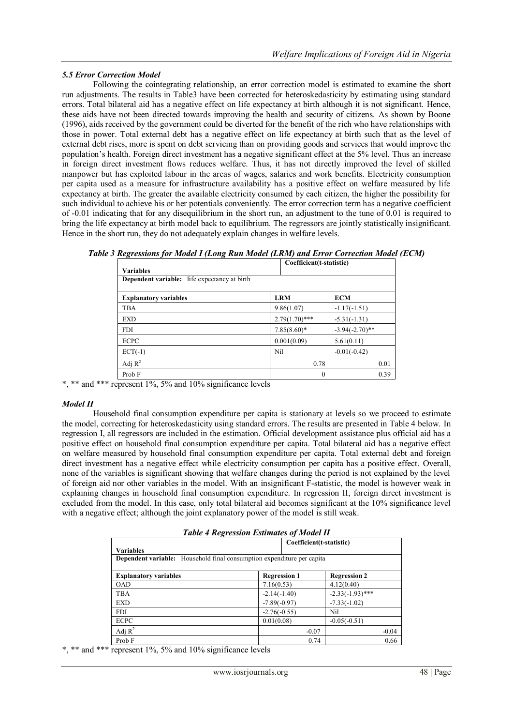### *5.5 Error Correction Model*

Following the cointegrating relationship, an error correction model is estimated to examine the short run adjustments. The results in Table3 have been corrected for heteroskedasticity by estimating using standard errors. Total bilateral aid has a negative effect on life expectancy at birth although it is not significant. Hence, these aids have not been directed towards improving the health and security of citizens. As shown by Boone (1996), aids received by the government could be diverted for the benefit of the rich who have relationships with those in power. Total external debt has a negative effect on life expectancy at birth such that as the level of external debt rises, more is spent on debt servicing than on providing goods and services that would improve the population"s health. Foreign direct investment has a negative significant effect at the 5% level. Thus an increase in foreign direct investment flows reduces welfare. Thus, it has not directly improved the level of skilled manpower but has exploited labour in the areas of wages, salaries and work benefits. Electricity consumption per capita used as a measure for infrastructure availability has a positive effect on welfare measured by life expectancy at birth. The greater the available electricity consumed by each citizen, the higher the possibility for such individual to achieve his or her potentials conveniently. The error correction term has a negative coefficient of -0.01 indicating that for any disequilibrium in the short run, an adjustment to the tune of 0.01 is required to bring the life expectancy at birth model back to equilibrium. The regressors are jointly statistically insignificant. Hence in the short run, they do not adequately explain changes in welfare levels.

| Table 3 Regressions for Model I (Long Run Model (LRM) and Error Correction Model (ECM) |                          |  |
|----------------------------------------------------------------------------------------|--------------------------|--|
|                                                                                        | Coefficient(t-statistic) |  |

| Coemicient t-statistic)<br><b>Variables</b>         |                  |                   |  |  |
|-----------------------------------------------------|------------------|-------------------|--|--|
| <b>Dependent variable:</b> life expectancy at birth |                  |                   |  |  |
| <b>Explanatory variables</b>                        | <b>LRM</b>       | <b>ECM</b>        |  |  |
| TBA                                                 | 9.86(1.07)       | $-1.17(-1.51)$    |  |  |
| <b>EXD</b>                                          | $2.79(1.70)$ *** | $-5.31(-1.31)$    |  |  |
| <b>FDI</b>                                          | $7.85(8.60)$ *   | $-3.94(-2.70)$ ** |  |  |
| <b>ECPC</b>                                         | 0.001(0.09)      | 5.61(0.11)        |  |  |
| $ECT(-1)$                                           | Nil              | $-0.01(-0.42)$    |  |  |
| Adj $R^2$                                           | 0.78             | 0.01              |  |  |
| Prob F                                              | 0                | 0.39              |  |  |

\*, \*\* and \*\*\* represent 1%, 5% and 10% significance levels

### *Model II*

Household final consumption expenditure per capita is stationary at levels so we proceed to estimate the model, correcting for heteroskedasticity using standard errors. The results are presented in Table 4 below. In regression I, all regressors are included in the estimation. Official development assistance plus official aid has a positive effect on household final consumption expenditure per capita. Total bilateral aid has a negative effect on welfare measured by household final consumption expenditure per capita. Total external debt and foreign direct investment has a negative effect while electricity consumption per capita has a positive effect. Overall, none of the variables is significant showing that welfare changes during the period is not explained by the level of foreign aid nor other variables in the model. With an insignificant F-statistic, the model is however weak in explaining changes in household final consumption expenditure. In regression II, foreign direct investment is excluded from the model. In this case, only total bilateral aid becomes significant at the 10% significance level with a negative effect; although the joint explanatory power of the model is still weak.

| <b>Table 4 Regression Estimates of Model II</b> |
|-------------------------------------------------|
|-------------------------------------------------|

|                                                                               | Coefficient(t-statistic) |                     |  |  |
|-------------------------------------------------------------------------------|--------------------------|---------------------|--|--|
| Variables                                                                     |                          |                     |  |  |
| <b>Dependent variable:</b> Household final consumption expenditure per capita |                          |                     |  |  |
|                                                                               |                          |                     |  |  |
| <b>Explanatory variables</b>                                                  | <b>Regression 1</b>      | <b>Regression 2</b> |  |  |
| <b>OAD</b>                                                                    | 7.16(0.53)               | 4.12(0.40)          |  |  |
| <b>TBA</b>                                                                    | $-2.14(-1.40)$           | $-2.33(-1.93)$ ***  |  |  |
| <b>EXD</b>                                                                    | $-7.89(-0.97)$           | $-7.33(-1.02)$      |  |  |
| <b>FDI</b>                                                                    | $-2.76(-0.55)$           | Nil                 |  |  |
| <b>ECPC</b>                                                                   | 0.01(0.08)               | $-0.05(-0.51)$      |  |  |
| Adj $R^2$                                                                     | $-0.07$                  | $-0.04$             |  |  |
| Prob F                                                                        | 0.74                     | 0.66                |  |  |

\*, \*\* and \*\*\* represent 1%, 5% and 10% significance levels